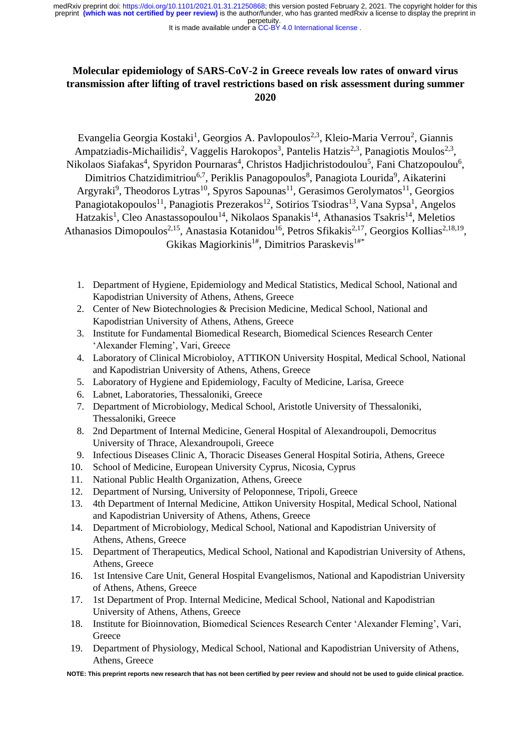#### It is made available under a CC-BY 4.0 International license.

# **Molecular epidemiology of SARS-CoV-2 in Greece reveals low rates of onward virus transmission after lifting of travel restrictions based on risk assessment during summer 2020**

Evangelia Georgia Kostaki<sup>1</sup>, Georgios A. Pavlopoulos<sup>2,3</sup>, Kleio-Maria Verrou<sup>2</sup>, Giannis Ampatziadis-Michailidis<sup>2</sup>, Vaggelis Harokopos<sup>3</sup>, Pantelis Hatzis<sup>2,3</sup>, Panagiotis Moulos<sup>2,3</sup>, Nikolaos Siafakas<sup>4</sup>, Spyridon Pournaras<sup>4</sup>, Christos Hadjichristodoulou<sup>5</sup>, Fani Chatzopoulou<sup>6</sup>, Dimitrios Chatzidimitriou<sup>6,7</sup>, Periklis Panagopoulos<sup>8</sup>, Panagiota Lourida<sup>9</sup>, Aikaterini Argyraki<sup>9</sup>, Theodoros Lytras<sup>10</sup>, Spyros Sapounas<sup>11</sup>, Gerasimos Gerolymatos<sup>11</sup>, Georgios Panagiotakopoulos<sup>11</sup>, Panagiotis Prezerakos<sup>12</sup>, Sotirios Tsiodras<sup>13</sup>, Vana Sypsa<sup>1</sup>, Angelos Hatzakis<sup>1</sup>, Cleo Anastassopoulou<sup>14</sup>, Nikolaos Spanakis<sup>14</sup>, Athanasios Tsakris<sup>14</sup>, Meletios Athanasios Dimopoulos<sup>2,15</sup>, Anastasia Kotanidou<sup>16</sup>, Petros Sfikakis<sup>2,17</sup>, Georgios Kollias<sup>2,18,19</sup>, Gkikas Magiorkinis<sup>1#</sup>, Dimitrios Paraskevis<sup>1#\*</sup>

- 1. Department of Hygiene, Epidemiology and Medical Statistics, Medical School, National and Kapodistrian University of Athens, Athens, Greece
- 2. Center of New Biotechnologies & Precision Medicine, Medical School, National and Kapodistrian University of Athens, Athens, Greece
- 3. Institute for Fundamental Biomedical Research, Biomedical Sciences Research Center 'Alexander Fleming', Vari, Greece
- 4. Laboratory of Clinical Microbioloy, ATTIKON University Hospital, Medical School, National and Kapodistrian University of Athens, Athens, Greece
- 5. Laboratory of Hygiene and Epidemiology, Faculty of Medicine, Larisa, Greece
- 6. Labnet, Laboratories, Thessaloniki, Greece
- 7. Department of Microbiology, Medical School, Aristotle University of Thessaloniki, Thessaloniki, Greece
- 8. 2nd Department of Internal Medicine, General Hospital of Alexandroupoli, Democritus University of Thrace, Alexandroupoli, Greece
- 9. Infectious Diseases Clinic A, Thoracic Diseases General Hospital Sotiria, Athens, Greece
- 10. School of Medicine, European University Cyprus, Nicosia, Cyprus
- 11. National Public Health Organization, Athens, Greece
- 12. Department of Nursing, University of Peloponnese, Tripoli, Greece
- 13. 4th Department of Internal Medicine, Attikon University Hospital, Medical School, National and Kapodistrian University of Athens, Athens, Greece
- 14. Department of Microbiology, Medical School, National and Kapodistrian University of Athens, Athens, Greece
- 15. Department of Therapeutics, Medical School, National and Kapodistrian University of Athens, Athens, Greece
- 16. 1st Intensive Care Unit, General Hospital Evangelismos, National and Kapodistrian University of Athens, Athens, Greece
- 17. 1st Department of Prop. Internal Medicine, Medical School, National and Kapodistrian University of Athens, Athens, Greece
- 18. Institute for Bioinnovation, Biomedical Sciences Research Center 'Alexander Fleming', Vari, **Greece**
- 19. Department of Physiology, Medical School, National and Kapodistrian University of Athens, Athens, Greece

**NOTE: This preprint reports new research that has not been certified by peer review and should not be used to guide clinical practice.**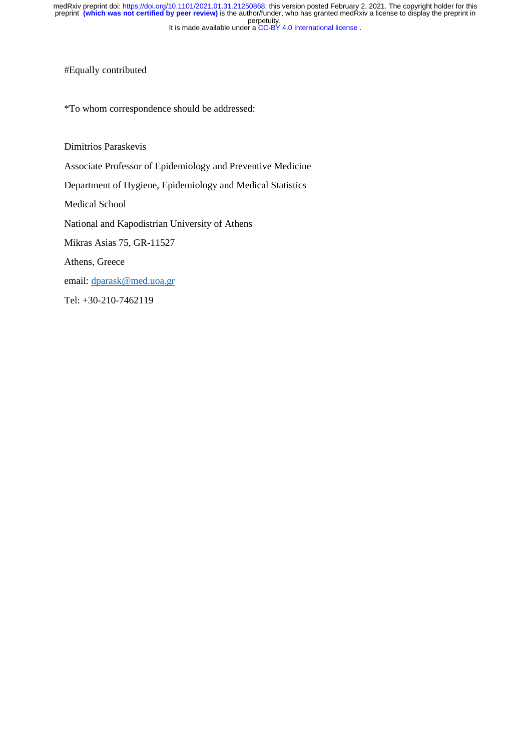It is made available under a CC-BY 4.0 International license. perpetuity. medRxiv preprint doi: [https://doi.org/10.1101/2021.01.31.21250868;](https://doi.org/10.1101/2021.01.31.21250868) this version posted February 2, 2021. The copyright holder for this<br>preprint (which was not certified by peer review) is the author/funder, who has granted

#Equally contributed

\*To whom correspondence should be addressed:

Dimitrios Paraskevis

Associate Professor of Epidemiology and Preventive Medicine

Department of Hygiene, Epidemiology and Medical Statistics

Medical School

National and Kapodistrian University of Athens

Mikras Asias 75, GR-11527

Athens, Greece

email: [dparask@med.uoa.gr](mailto:dparask@med.uoa.gr)

Tel: +30-210-7462119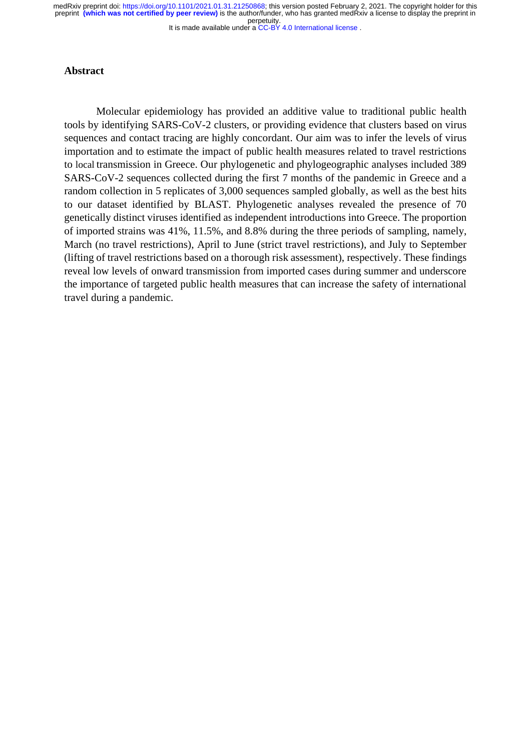It is made available under a CC-BY 4.0 International license. perpetuity. medRxiv preprint doi: [https://doi.org/10.1101/2021.01.31.21250868;](https://doi.org/10.1101/2021.01.31.21250868) this version posted February 2, 2021. The copyright holder for this<br>preprint (which was not certified by peer review) is the author/funder, who has granted

## **Abstract**

Molecular epidemiology has provided an additive value to traditional public health tools by identifying SARS-CoV-2 clusters, or providing evidence that clusters based on virus sequences and contact tracing are highly concordant. Our aim was to infer the levels of virus importation and to estimate the impact of public health measures related to travel restrictions to local transmission in Greece. Our phylogenetic and phylogeographic analyses included 389 SARS-CoV-2 sequences collected during the first 7 months of the pandemic in Greece and a random collection in 5 replicates of 3,000 sequences sampled globally, as well as the best hits to our dataset identified by BLAST. Phylogenetic analyses revealed the presence of 70 genetically distinct viruses identified as independent introductions into Greece. The proportion of imported strains was 41%, 11.5%, and 8.8% during the three periods of sampling, namely, March (no travel restrictions), April to June (strict travel restrictions), and July to September (lifting of travel restrictions based on a thorough risk assessment), respectively. These findings reveal low levels of onward transmission from imported cases during summer and underscore the importance of targeted public health measures that can increase the safety of international travel during a pandemic.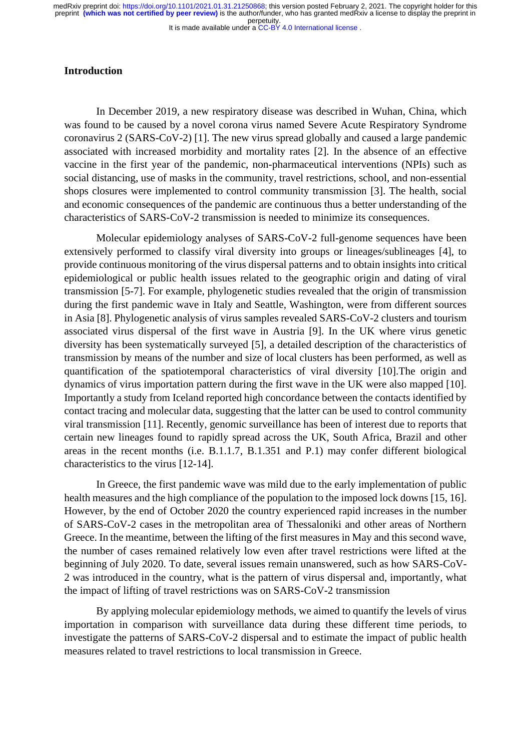#### It is made available under a CC-BY 4.0 International license.

#### **Introduction**

In December 2019, a new respiratory disease was described in Wuhan, China, which was found to be caused by a novel corona virus named Severe Acute Respiratory Syndrome coronavirus 2 (SARS-CoV-2) [1]. The new virus spread globally and caused a large pandemic associated with increased morbidity and mortality rates [2]. In the absence of an effective vaccine in the first year of the pandemic, non-pharmaceutical interventions (NPIs) such as social distancing, use of masks in the community, travel restrictions, school, and non-essential shops closures were implemented to control community transmission [3]. The health, social and economic consequences of the pandemic are continuous thus a better understanding of the characteristics of SARS-CoV-2 transmission is needed to minimize its consequences.

Molecular epidemiology analyses of SARS-CoV-2 full-genome sequences have been extensively performed to classify viral diversity into groups or lineages/sublineages [4], to provide continuous monitoring of the virus dispersal patterns and to obtain insights into critical epidemiological or public health issues related to the geographic origin and dating of viral transmission [5-7]. For example, phylogenetic studies revealed that the origin of transmission during the first pandemic wave in Italy and Seattle, Washington, were from different sources in Asia [8]. Phylogenetic analysis of virus samples revealed SARS-CoV-2 clusters and tourism associated virus dispersal of the first wave in Austria [9]. In the UK where virus genetic diversity has been systematically surveyed [5], a detailed description of the characteristics of transmission by means of the number and size of local clusters has been performed, as well as quantification of the spatiotemporal characteristics of viral diversity [10].The origin and dynamics of virus importation pattern during the first wave in the UK were also mapped [10]. Importantly a study from Iceland reported high concordance between the contacts identified by contact tracing and molecular data, suggesting that the latter can be used to control community viral transmission [11]. Recently, genomic surveillance has been of interest due to reports that certain new lineages found to rapidly spread across the UK, South Africa, Brazil and other areas in the recent months (i.e. B.1.1.7, B.1.351 and P.1) may confer different biological characteristics to the virus [12-14].

In Greece, the first pandemic wave was mild due to the early implementation of public health measures and the high compliance of the population to the imposed lock downs [15, 16]. However, by the end of October 2020 the country experienced rapid increases in the number of SARS-CoV-2 cases in the metropolitan area of Thessaloniki and other areas of Northern Greece. In the meantime, between the lifting of the first measures in May and this second wave, the number of cases remained relatively low even after travel restrictions were lifted at the beginning of July 2020. To date, several issues remain unanswered, such as how SARS-CoV-2 was introduced in the country, what is the pattern of virus dispersal and, importantly, what the impact of lifting of travel restrictions was on SARS-CoV-2 transmission

By applying molecular epidemiology methods, we aimed to quantify the levels of virus importation in comparison with surveillance data during these different time periods, to investigate the patterns of SARS-CoV-2 dispersal and to estimate the impact of public health measures related to travel restrictions to local transmission in Greece.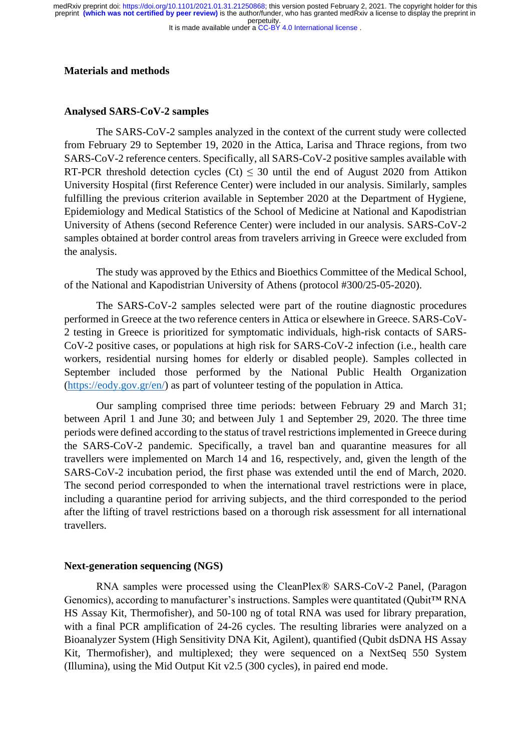It is made available under a CC-BY 4.0 International license. perpetuity. medRxiv preprint doi: [https://doi.org/10.1101/2021.01.31.21250868;](https://doi.org/10.1101/2021.01.31.21250868) this version posted February 2, 2021. The copyright holder for this<br>preprint (which was not certified by peer review) is the author/funder, who has granted

## **Materials and methods**

## **Analysed SARS-CoV-2 samples**

The SARS-CoV-2 samples analyzed in the context of the current study were collected from February 29 to September 19, 2020 in the Attica, Larisa and Thrace regions, from two SARS-CoV-2 reference centers. Specifically, all SARS-CoV-2 positive samples available with RT-PCR threshold detection cycles (Ct)  $\leq$  30 until the end of August 2020 from Attikon University Hospital (first Reference Center) were included in our analysis. Similarly, samples fulfilling the previous criterion available in September 2020 at the Department of Hygiene, Epidemiology and Medical Statistics of the School of Medicine at National and Kapodistrian University of Athens (second Reference Center) were included in our analysis. SARS-CoV-2 samples obtained at border control areas from travelers arriving in Greece were excluded from the analysis.

The study was approved by the Ethics and Bioethics Committee of the Medical School, of the National and Kapodistrian University of Athens (protocol #300/25-05-2020).

The SARS-CoV-2 samples selected were part of the routine diagnostic procedures performed in Greece at the two reference centers in Attica or elsewhere in Greece. SARS-CoV-2 testing in Greece is prioritized for symptomatic individuals, high-risk contacts of SARS-CoV-2 positive cases, or populations at high risk for SARS-CoV-2 infection (i.e., health care workers, residential nursing homes for elderly or disabled people). Samples collected in September included those performed by the National Public Health Organization [\(https://eody.gov.gr/en/\)](https://eody.gov.gr/en/) as part of volunteer testing of the population in Attica.

Our sampling comprised three time periods: between February 29 and March 31; between April 1 and June 30; and between July 1 and September 29, 2020. The three time periods were defined according to the status of travel restrictions implemented in Greece during the SARS-CoV-2 pandemic. Specifically, a travel ban and quarantine measures for all travellers were implemented on March 14 and 16, respectively, and, given the length of the SARS-CoV-2 incubation period, the first phase was extended until the end of March, 2020. The second period corresponded to when the international travel restrictions were in place, including a quarantine period for arriving subjects, and the third corresponded to the period after the lifting of travel restrictions based on a thorough risk assessment for all international travellers.

#### **Next-generation sequencing (NGS)**

RNA samples were processed using the CleanPlex® SARS-CoV-2 Panel, (Paragon Genomics), according to manufacturer's instructions. Samples were quantitated (Qubit™ RNA HS Assay Kit, Thermofisher), and 50-100 ng of total RNA was used for library preparation, with a final PCR amplification of 24-26 cycles. The resulting libraries were analyzed on a Bioanalyzer System (High Sensitivity DNA Kit, Agilent), quantified (Qubit dsDNA HS Assay Kit, Thermofisher), and multiplexed; they were sequenced on a NextSeq 550 System (Illumina), using the Mid Output Kit v2.5 (300 cycles), in paired end mode.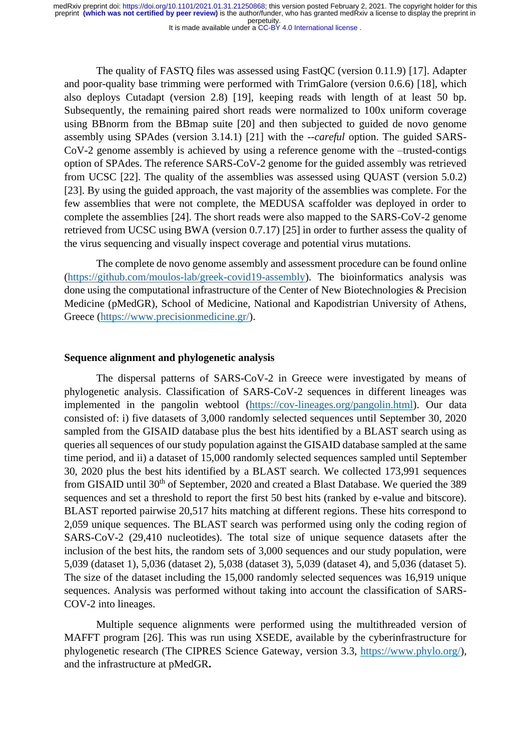It is made available under a [CC-BY 4.0 International license](http://creativecommons.org/licenses/by/4.0/) .

The quality of FASTQ files was assessed using FastQC (version 0.11.9) [17]. Adapter and poor-quality base trimming were performed with TrimGalore (version 0.6.6) [18], which also deploys Cutadapt (version 2.8) [19], keeping reads with length of at least 50 bp. Subsequently, the remaining paired short reads were normalized to 100x uniform coverage using BBnorm from the BBmap suite [20] and then subjected to guided de novo genome assembly using SPAdes (version 3.14.1) [21] with the *--careful* option. The guided SARS-CoV-2 genome assembly is achieved by using a reference genome with the –trusted-contigs option of SPAdes. The reference SARS-CoV-2 genome for the guided assembly was retrieved from UCSC [22]. The quality of the assemblies was assessed using QUAST (version 5.0.2) [23]. By using the guided approach, the vast majority of the assemblies was complete. For the few assemblies that were not complete, the MEDUSA scaffolder was deployed in order to complete the assemblies [24]. The short reads were also mapped to the SARS-CoV-2 genome retrieved from UCSC using BWA (version 0.7.17) [25] in order to further assess the quality of the virus sequencing and visually inspect coverage and potential virus mutations.

The complete de novo genome assembly and assessment procedure can be found online [\(https://github.com/moulos-lab/greek-covid19-assembly\)](https://github.com/moulos-lab/greek-covid19-assembly). The bioinformatics analysis was done using the computational infrastructure of the Center of New Biotechnologies & Precision Medicine (pMedGR), School of Medicine, National and Kapodistrian University of Athens, Greece [\(https://www.precisionmedicine.gr/\)](https://www.precisionmedicine.gr/).

## **Sequence alignment and phylogenetic analysis**

The dispersal patterns of SARS-CoV-2 in Greece were investigated by means of phylogenetic analysis. Classification of SARS-CoV-2 sequences in different lineages was implemented in the pangolin webtool [\(https://cov-lineages.org/pangolin.html\)](https://cov-lineages.org/pangolin.html). Our data consisted of: i) five datasets of 3,000 randomly selected sequences until September 30, 2020 sampled from the GISAID database plus the best hits identified by a BLAST search using as queries all sequences of our study population against the GISAID database sampled at the same time period, and ii) a dataset of 15,000 randomly selected sequences sampled until September 30, 2020 plus the best hits identified by a BLAST search. We collected 173,991 sequences from GISAID until 30<sup>th</sup> of September, 2020 and created a Blast Database. We queried the 389 sequences and set a threshold to report the first 50 best hits (ranked by e-value and bitscore). BLAST reported pairwise 20,517 hits matching at different regions. These hits correspond to 2,059 unique sequences. The BLAST search was performed using only the coding region of SARS-CoV-2 (29,410 nucleotides). The total size of unique sequence datasets after the inclusion of the best hits, the random sets of 3,000 sequences and our study population, were 5,039 (dataset 1), 5,036 (dataset 2), 5,038 (dataset 3), 5,039 (dataset 4), and 5,036 (dataset 5). The size of the dataset including the 15,000 randomly selected sequences was 16,919 unique sequences. Analysis was performed without taking into account the classification of SARS-COV-2 into lineages.

Multiple sequence alignments were performed using the multithreaded version of MAFFT program [26]. This was run using XSEDE, available by the cyberinfrastructure for phylogenetic research (The CIPRES Science Gateway, version 3.3, [https://www.phylo.org/\)](https://www.phylo.org/), and the infrastructure at pMedGR**.**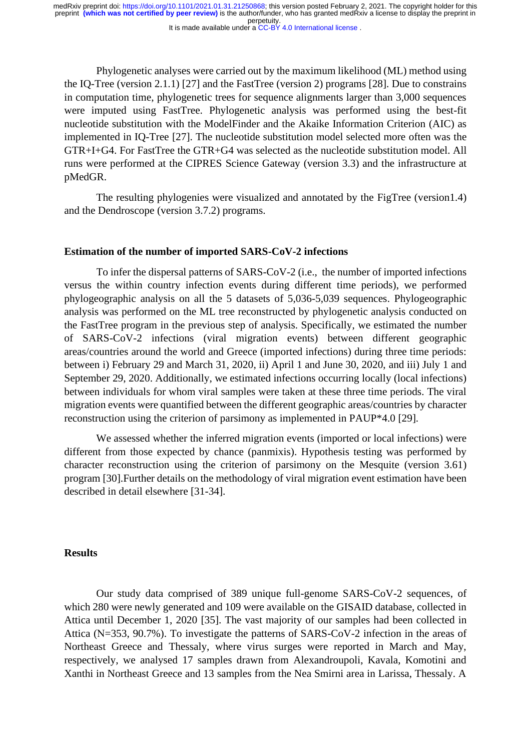It is made available under a [CC-BY 4.0 International license](http://creativecommons.org/licenses/by/4.0/) .

Phylogenetic analyses were carried out by the maximum likelihood (ML) method using the IQ-Tree (version 2.1.1) [27] and the FastTree (version 2) programs [28]. Due to constrains in computation time, phylogenetic trees for sequence alignments larger than 3,000 sequences were imputed using FastTree. Phylogenetic analysis was performed using the best-fit nucleotide substitution with the ModelFinder and the Akaike Information Criterion (AIC) as implemented in IQ-Tree [27]. The nucleotide substitution model selected more often was the GTR+I+G4. For FastTree the GTR+G4 was selected as the nucleotide substitution model. All runs were performed at the CIPRES Science Gateway (version 3.3) and the infrastructure at pMedGR.

The resulting phylogenies were visualized and annotated by the FigTree (version1.4) and the Dendroscope (version 3.7.2) programs.

#### **Estimation of the number of imported SARS-CoV-2 infections**

Τo infer the dispersal patterns of SARS-CoV-2 (i.e., the number of imported infections versus the within country infection events during different time periods), we performed phylogeographic analysis on all the 5 datasets of 5,036-5,039 sequences. Phylogeographic analysis was performed on the ML tree reconstructed by phylogenetic analysis conducted on the FastTree program in the previous step of analysis. Specifically, we estimated the number of SARS-CoV-2 infections (viral migration events) between different geographic areas/countries around the world and Greece (imported infections) during three time periods: between i) February 29 and March 31, 2020, ii) April 1 and June 30, 2020, and iii) July 1 and September 29, 2020. Additionally, we estimated infections occurring locally (local infections) between individuals for whom viral samples were taken at these three time periods. The viral migration events were quantified between the different geographic areas/countries by character reconstruction using the criterion of parsimony as implemented in PAUP\*4.0 [29].

We assessed whether the inferred migration events (imported or local infections) were different from those expected by chance (panmixis). Hypothesis testing was performed by character reconstruction using the criterion of parsimony on the Mesquite (version 3.61) program [30].Further details on the methodology of viral migration event estimation have been described in detail elsewhere [31-34].

#### **Results**

Our study data comprised of 389 unique full-genome SARS-CoV-2 sequences, of which 280 were newly generated and 109 were available on the GISAID database, collected in Attica until December 1, 2020 [35]. The vast majority of our samples had been collected in Attica (N=353, 90.7%). To investigate the patterns of SARS-CoV-2 infection in the areas of Northeast Greece and Thessaly, where virus surges were reported in March and May, respectively, we analysed 17 samples drawn from Alexandroupoli, Kavala, Komotini and Xanthi in Northeast Greece and 13 samples from the Nea Smirni area in Larissa, Thessaly. A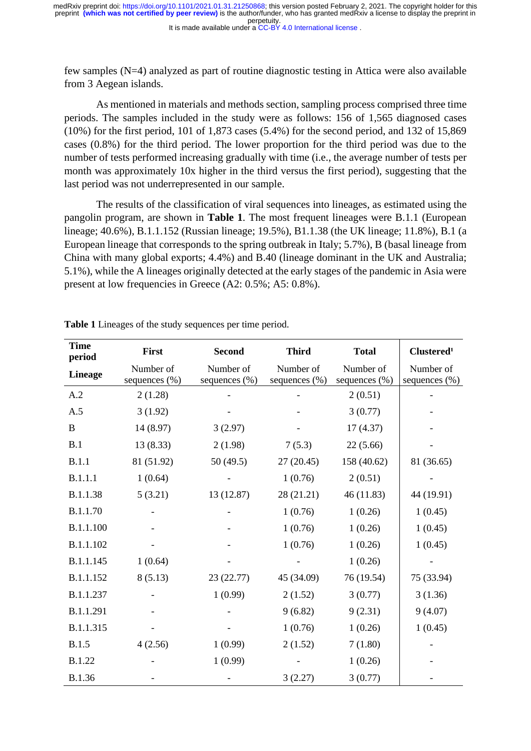It is made available under a [CC-BY 4.0 International license](http://creativecommons.org/licenses/by/4.0/) . perpetuity. medRxiv preprint doi: [https://doi.org/10.1101/2021.01.31.21250868;](https://doi.org/10.1101/2021.01.31.21250868) this version posted February 2, 2021. The copyright holder for this<br>preprint (which was not certified by peer review) is the author/funder, who has granted

few samples (N=4) analyzed as part of routine diagnostic testing in Attica were also available from 3 Aegean islands.

As mentioned in materials and methods section, sampling process comprised three time periods. The samples included in the study were as follows: 156 of 1,565 diagnosed cases (10%) for the first period, 101 of 1,873 cases (5.4%) for the second period, and 132 of 15,869 cases (0.8%) for the third period. The lower proportion for the third period was due to the number of tests performed increasing gradually with time (i.e., the average number of tests per month was approximately 10x higher in the third versus the first period), suggesting that the last period was not underrepresented in our sample.

The results of the classification of viral sequences into lineages, as estimated using the pangolin program, are shown in **Table 1**. The most frequent lineages were B.1.1 (European lineage; 40.6%), B.1.1.152 (Russian lineage; 19.5%), B1.1.38 (the UK lineage; 11.8%), B.1 (a European lineage that corresponds to the spring outbreak in Italy; 5.7%), B (basal lineage from China with many global exports; 4.4%) and B.40 (lineage dominant in the UK and Australia; 5.1%), while the A lineages originally detected at the early stages of the pandemic in Asia were present at low frequencies in Greece (A2: 0.5%; A5: 0.8%).

| <b>Time</b><br>period | First                         | <b>Second</b>                 | <b>Third</b>                  | <b>Total</b>                  | Clustered <sup>1</sup>         |
|-----------------------|-------------------------------|-------------------------------|-------------------------------|-------------------------------|--------------------------------|
| <b>Lineage</b>        | Number of<br>sequences $(\%)$ | Number of<br>sequences $(\%)$ | Number of<br>sequences $(\%)$ | Number of<br>sequences $(\%)$ | Number of<br>sequences $(\% )$ |
| A.2                   | 2(1.28)                       |                               |                               | 2(0.51)                       |                                |
| A.5                   | 3(1.92)                       |                               |                               | 3(0.77)                       |                                |
| B                     | 14 (8.97)                     | 3(2.97)                       |                               | 17(4.37)                      |                                |
| B.1                   | 13(8.33)                      | 2(1.98)                       | 7(5.3)                        | 22(5.66)                      |                                |
| B.1.1                 | 81 (51.92)                    | 50(49.5)                      | 27(20.45)                     | 158 (40.62)                   | 81 (36.65)                     |
| <b>B.1.1.1</b>        | 1(0.64)                       |                               | 1(0.76)                       | 2(0.51)                       |                                |
| B.1.1.38              | 5(3.21)                       | 13(12.87)                     | 28(21.21)                     | 46(11.83)                     | 44 (19.91)                     |
| B.1.1.70              |                               |                               | 1(0.76)                       | 1(0.26)                       | 1(0.45)                        |
| B.1.1.100             |                               |                               | 1(0.76)                       | 1(0.26)                       | 1(0.45)                        |
| B.1.1.102             |                               |                               | 1(0.76)                       | 1(0.26)                       | 1(0.45)                        |
| B.1.1.145             | 1(0.64)                       |                               |                               | 1(0.26)                       |                                |
| B.1.1.152             | 8(5.13)                       | 23(22.77)                     | 45 (34.09)                    | 76 (19.54)                    | 75 (33.94)                     |
| B.1.1.237             |                               | 1(0.99)                       | 2(1.52)                       | 3(0.77)                       | 3(1.36)                        |
| B.1.1.291             |                               |                               | 9(6.82)                       | 9(2.31)                       | 9(4.07)                        |
| B.1.1.315             |                               |                               | 1(0.76)                       | 1(0.26)                       | 1(0.45)                        |
| <b>B.1.5</b>          | 4(2.56)                       | 1(0.99)                       | 2(1.52)                       | 7(1.80)                       |                                |
| <b>B.1.22</b>         |                               | 1(0.99)                       |                               | 1(0.26)                       |                                |
| <b>B.1.36</b>         |                               |                               | 3(2.27)                       | 3(0.77)                       |                                |

**Table 1** Lineages of the study sequences per time period.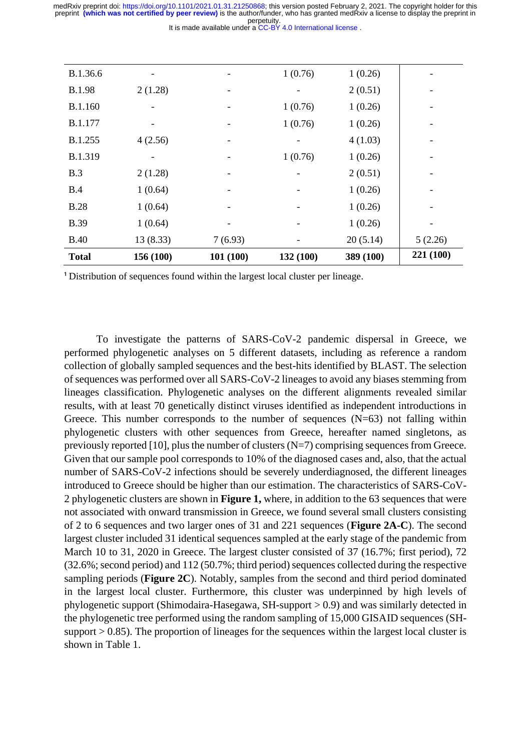| <b>Total</b>   | 156 (100) | 101(100) | 132 (100) | 389 (100) | 221 (100) |
|----------------|-----------|----------|-----------|-----------|-----------|
| <b>B.40</b>    | 13 (8.33) | 7(6.93)  |           | 20(5.14)  | 5(2.26)   |
| <b>B.39</b>    | 1(0.64)   |          |           | 1(0.26)   |           |
| <b>B.28</b>    | 1(0.64)   |          | -         | 1(0.26)   |           |
| B.4            | 1(0.64)   |          |           | 1(0.26)   |           |
| B.3            | 2(1.28)   |          |           | 2(0.51)   |           |
| <b>B.1.319</b> |           |          | 1(0.76)   | 1(0.26)   |           |
| B.1.255        | 4(2.56)   |          |           | 4(1.03)   |           |
| B.1.177        | ۰         |          | 1(0.76)   | 1(0.26)   |           |
| <b>B.1.160</b> |           |          | 1(0.76)   | 1(0.26)   |           |
| <b>B.1.98</b>  | 2(1.28)   |          |           | 2(0.51)   |           |
| B.1.36.6       | -         | ۰        | 1(0.76)   | 1(0.26)   |           |

<sup>1</sup> Distribution of sequences found within the largest local cluster per lineage.

To investigate the patterns of SARS-CoV-2 pandemic dispersal in Greece, we performed phylogenetic analyses on 5 different datasets, including as reference a random collection of globally sampled sequences and the best-hits identified by BLAST. The selection of sequences was performed over all SARS-CoV-2 lineages to avoid any biases stemming from lineages classification. Phylogenetic analyses on the different alignments revealed similar results, with at least 70 genetically distinct viruses identified as independent introductions in Greece. This number corresponds to the number of sequences  $(N=63)$  not falling within phylogenetic clusters with other sequences from Greece, hereafter named singletons, as previously reported [10], plus the number of clusters  $(N=7)$  comprising sequences from Greece. Given that our sample pool corresponds to 10% of the diagnosed cases and, also, that the actual number of SARS-CoV-2 infections should be severely underdiagnosed, the different lineages introduced to Greece should be higher than our estimation. The characteristics of SARS-CoV-2 phylogenetic clusters are shown in **Figure 1,** where, in addition to the 63 sequences that were not associated with onward transmission in Greece, we found several small clusters consisting of 2 to 6 sequences and two larger ones of 31 and 221 sequences (**Figure 2A-C**). The second largest cluster included 31 identical sequences sampled at the early stage of the pandemic from March 10 to 31, 2020 in Greece. The largest cluster consisted of 37 (16.7%; first period), 72 (32.6%; second period) and 112 (50.7%; third period) sequences collected during the respective sampling periods (**Figure 2C**). Notably, samples from the second and third period dominated in the largest local cluster. Furthermore, this cluster was underpinned by high levels of phylogenetic support (Shimodaira-Hasegawa, SH-support > 0.9) and was similarly detected in the phylogenetic tree performed using the random sampling of 15,000 GISAID sequences (SHsupport  $> 0.85$ ). The proportion of lineages for the sequences within the largest local cluster is shown in Table 1.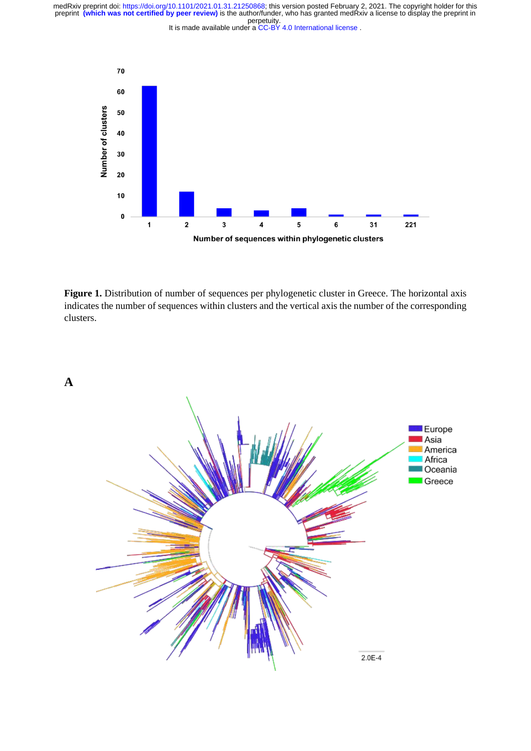



Figure 1. Distribution of number of sequences per phylogenetic cluster in Greece. The horizontal axis indicates the number of sequences within clusters and the vertical axis the number of the corresponding clusters.

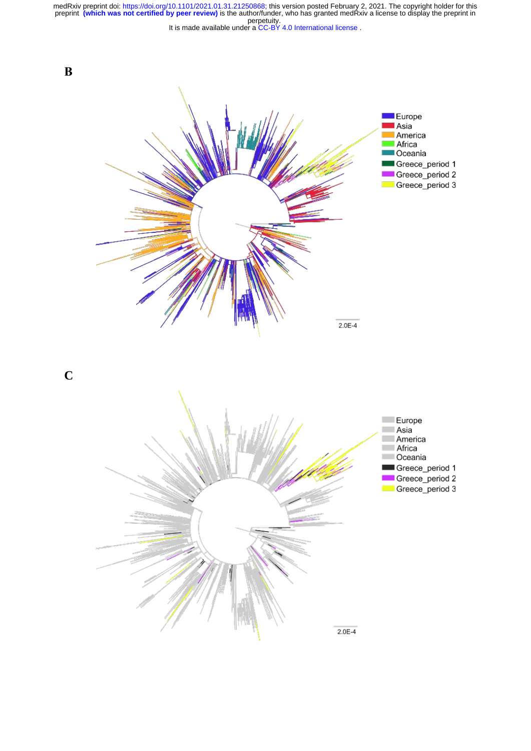It is made available under a [CC-BY 4.0 International license](http://creativecommons.org/licenses/by/4.0/) . perpetuity. medRxiv preprint doi: [https://doi.org/10.1101/2021.01.31.21250868;](https://doi.org/10.1101/2021.01.31.21250868) this version posted February 2, 2021. The copyright holder for this<br>preprint (which was not certified by peer review) is the author/funder, who has granted



**C**

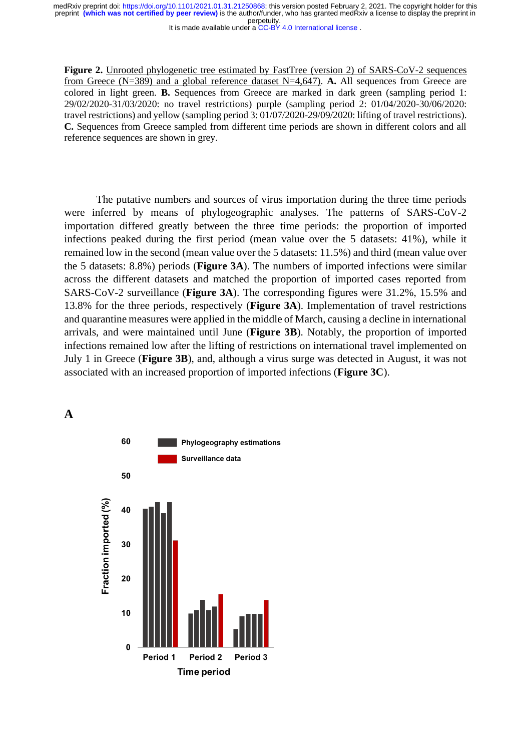It is made available under a [CC-BY 4.0 International license](http://creativecommons.org/licenses/by/4.0/) .

**Figure 2.** Unrooted phylogenetic tree estimated by FastTree (version 2) of SARS-CoV-2 sequences from Greece (N=389) and a global reference dataset N=4,647). **A.** All sequences from Greece are colored in light green. **B.** Sequences from Greece are marked in dark green (sampling period 1: 29/02/2020-31/03/2020: no travel restrictions) purple (sampling period 2: 01/04/2020-30/06/2020: travel restrictions) and yellow (sampling period 3: 01/07/2020-29/09/2020: lifting of travel restrictions). **C.** Sequences from Greece sampled from different time periods are shown in different colors and all reference sequences are shown in grey.

The putative numbers and sources of virus importation during the three time periods were inferred by means of phylogeographic analyses. The patterns of SARS-CoV-2 importation differed greatly between the three time periods: the proportion of imported infections peaked during the first period (mean value over the 5 datasets: 41%), while it remained low in the second (mean value over the 5 datasets: 11.5%) and third (mean value over the 5 datasets: 8.8%) periods (**Figure 3A**). The numbers of imported infections were similar across the different datasets and matched the proportion of imported cases reported from SARS-CoV-2 surveillance (**Figure 3A**). The corresponding figures were 31.2%, 15.5% and 13.8% for the three periods, respectively (**Figure 3A**). Implementation of travel restrictions and quarantine measures were applied in the middle of March, causing a decline in international arrivals, and were maintained until June (**Figure 3B**). Notably, the proportion of imported infections remained low after the lifting of restrictions on international travel implemented on July 1 in Greece (**Figure 3B**), and, although a virus surge was detected in August, it was not associated with an increased proportion of imported infections (**Figure 3C**).

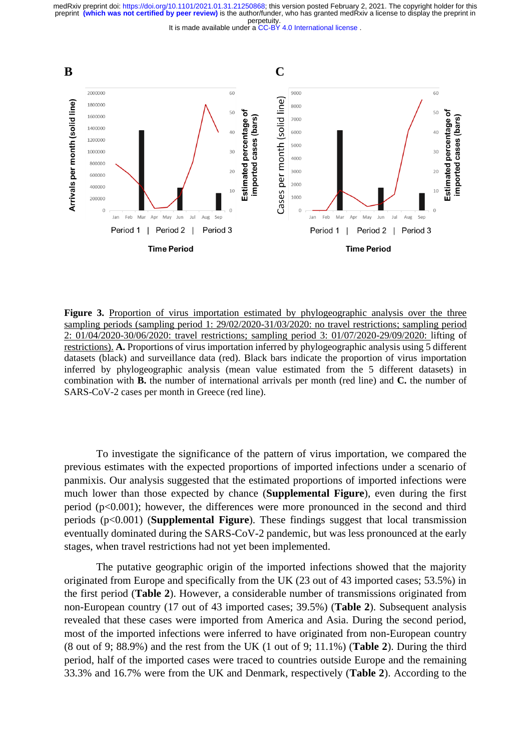



**Figure 3.** Proportion of virus importation estimated by phylogeographic analysis over the three sampling periods (sampling period 1: 29/02/2020-31/03/2020: no travel restrictions; sampling period 2: 01/04/2020-30/06/2020: travel restrictions; sampling period 3: 01/07/2020-29/09/2020: lifting of restrictions). **A.** Proportions of virus importation inferred by phylogeographic analysis using 5 different datasets (black) and surveillance data (red). Black bars indicate the proportion of virus importation inferred by phylogeographic analysis (mean value estimated from the 5 different datasets) in combination with **B.** the number of international arrivals per month (red line) and **C.** the number of SARS-CoV-2 cases per month in Greece (red line).

To investigate the significance of the pattern of virus importation, we compared the previous estimates with the expected proportions of imported infections under a scenario of panmixis. Our analysis suggested that the estimated proportions of imported infections were much lower than those expected by chance (**Supplemental Figure**), even during the first period (p<0.001); however, the differences were more pronounced in the second and third periods (p<0.001) (**Supplemental Figure**). These findings suggest that local transmission eventually dominated during the SARS-CoV-2 pandemic, but was less pronounced at the early stages, when travel restrictions had not yet been implemented.

The putative geographic origin of the imported infections showed that the majority originated from Europe and specifically from the UK (23 out of 43 imported cases; 53.5%) in the first period (**Table 2**). However, a considerable number of transmissions originated from non-European country (17 out of 43 imported cases; 39.5%) (**Table 2**). Subsequent analysis revealed that these cases were imported from America and Asia. During the second period, most of the imported infections were inferred to have originated from non-European country (8 out of 9; 88.9%) and the rest from the UK (1 out of 9; 11.1%) (**Table 2**). During the third period, half of the imported cases were traced to countries outside Europe and the remaining 33.3% and 16.7% were from the UK and Denmark, respectively (**Table 2**). According to the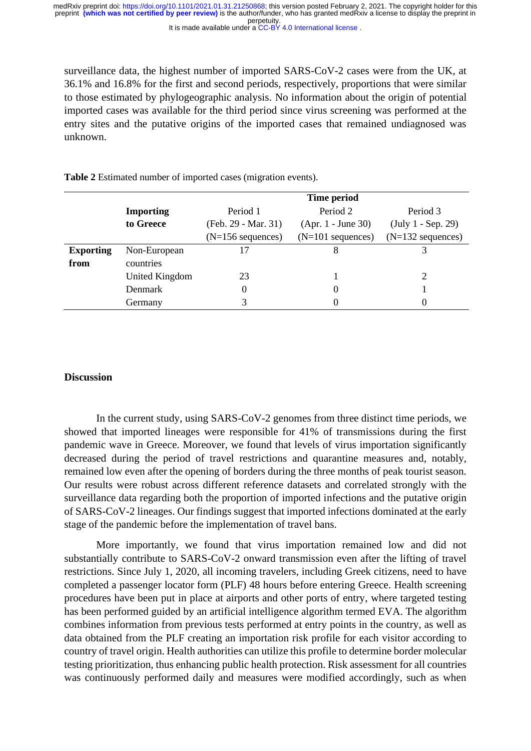It is made available under a [CC-BY 4.0 International license](http://creativecommons.org/licenses/by/4.0/) . perpetuity. preprint **(which was not certified by peer review)** is the author/funder, who has granted medRxiv a license to display the preprint in medRxiv preprint doi: [https://doi.org/10.1101/2021.01.31.21250868;](https://doi.org/10.1101/2021.01.31.21250868) this version posted February 2, 2021. The copyright holder for this

surveillance data, the highest number of imported SARS-CoV-2 cases were from the UK, at 36.1% and 16.8% for the first and second periods, respectively, proportions that were similar to those estimated by phylogeographic analysis. No information about the origin of potential imported cases was available for the third period since virus screening was performed at the entry sites and the putative origins of the imported cases that remained undiagnosed was unknown.

|                  |                  | Time period         |                      |                      |  |
|------------------|------------------|---------------------|----------------------|----------------------|--|
|                  | <b>Importing</b> | Period 1            | Period 2             | Period 3             |  |
|                  | to Greece        | (Feb. 29 - Mar. 31) | $(Apr. 1 - June 30)$ | $(July 1 - Sep. 29)$ |  |
|                  |                  | $(N=156$ sequences) | $(N=101$ sequences)  | $(N=132$ sequences)  |  |
| <b>Exporting</b> | Non-European     |                     | 8                    |                      |  |
| from             | countries        |                     |                      |                      |  |
|                  | United Kingdom   | 23                  |                      |                      |  |
|                  | Denmark          | 0                   | 0                    |                      |  |
|                  | Germany          | 3                   | 0                    | 0                    |  |

**Table 2** Estimated number of imported cases (migration events).

#### **Discussion**

In the current study, using SARS-CoV-2 genomes from three distinct time periods, we showed that imported lineages were responsible for 41% of transmissions during the first pandemic wave in Greece. Moreover, we found that levels of virus importation significantly decreased during the period of travel restrictions and quarantine measures and, notably, remained low even after the opening of borders during the three months of peak tourist season. Our results were robust across different reference datasets and correlated strongly with the surveillance data regarding both the proportion of imported infections and the putative origin of SARS-CoV-2 lineages. Our findings suggest that imported infections dominated at the early stage of the pandemic before the implementation of travel bans.

More importantly, we found that virus importation remained low and did not substantially contribute to SARS-CoV-2 onward transmission even after the lifting of travel restrictions. Since July 1, 2020, all incoming travelers, including Greek citizens, need to have completed a passenger locator form (PLF) 48 hours before entering Greece. Health screening procedures have been put in place at airports and other ports of entry, where targeted testing has been performed guided by an artificial intelligence algorithm termed EVA. The algorithm combines information from previous tests performed at entry points in the country, as well as data obtained from the PLF creating an importation risk profile for each visitor according to country of travel origin. Health authorities can utilize this profile to determine border molecular testing prioritization, thus enhancing public health protection. Risk assessment for all countries was continuously performed daily and measures were modified accordingly, such as when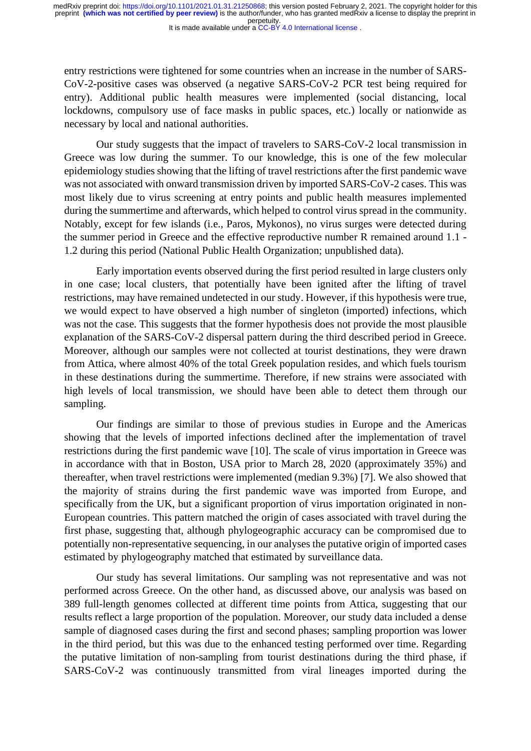It is made available under a [CC-BY 4.0 International license](http://creativecommons.org/licenses/by/4.0/) .

entry restrictions were tightened for some countries when an increase in the number of SARS-CoV-2-positive cases was observed (a negative SARS-CoV-2 PCR test being required for entry). Additional public health measures were implemented (social distancing, local lockdowns, compulsory use of face masks in public spaces, etc.) locally or nationwide as necessary by local and national authorities.

Our study suggests that the impact of travelers to SARS-CoV-2 local transmission in Greece was low during the summer. To our knowledge, this is one of the few molecular epidemiology studies showing that the lifting of travel restrictions after the first pandemic wave was not associated with onward transmission driven by imported SARS-CoV-2 cases. This was most likely due to virus screening at entry points and public health measures implemented during the summertime and afterwards, which helped to control virus spread in the community. Notably, except for few islands (i.e., Paros, Mykonos), no virus surges were detected during the summer period in Greece and the effective reproductive number R remained around 1.1 - 1.2 during this period (National Public Health Organization; unpublished data).

Early importation events observed during the first period resulted in large clusters only in one case; local clusters, that potentially have been ignited after the lifting of travel restrictions, may have remained undetected in our study. However, if this hypothesis were true, we would expect to have observed a high number of singleton (imported) infections, which was not the case. This suggests that the former hypothesis does not provide the most plausible explanation of the SARS-CoV-2 dispersal pattern during the third described period in Greece. Moreover, although our samples were not collected at tourist destinations, they were drawn from Attica, where almost 40% of the total Greek population resides, and which fuels tourism in these destinations during the summertime. Therefore, if new strains were associated with high levels of local transmission, we should have been able to detect them through our sampling.

Our findings are similar to those of previous studies in Europe and the Americas showing that the levels of imported infections declined after the implementation of travel restrictions during the first pandemic wave [10]. The scale of virus importation in Greece was in accordance with that in Boston, USA prior to March 28, 2020 (approximately 35%) and thereafter, when travel restrictions were implemented (median 9.3%) [7]. We also showed that the majority of strains during the first pandemic wave was imported from Europe, and specifically from the UK, but a significant proportion of virus importation originated in non-European countries. This pattern matched the origin of cases associated with travel during the first phase, suggesting that, although phylogeographic accuracy can be compromised due to potentially non-representative sequencing, in our analyses the putative origin of imported cases estimated by phylogeography matched that estimated by surveillance data.

Our study has several limitations. Our sampling was not representative and was not performed across Greece. On the other hand, as discussed above, our analysis was based on 389 full-length genomes collected at different time points from Attica, suggesting that our results reflect a large proportion of the population. Moreover, our study data included a dense sample of diagnosed cases during the first and second phases; sampling proportion was lower in the third period, but this was due to the enhanced testing performed over time. Regarding the putative limitation of non-sampling from tourist destinations during the third phase, if SARS-CoV-2 was continuously transmitted from viral lineages imported during the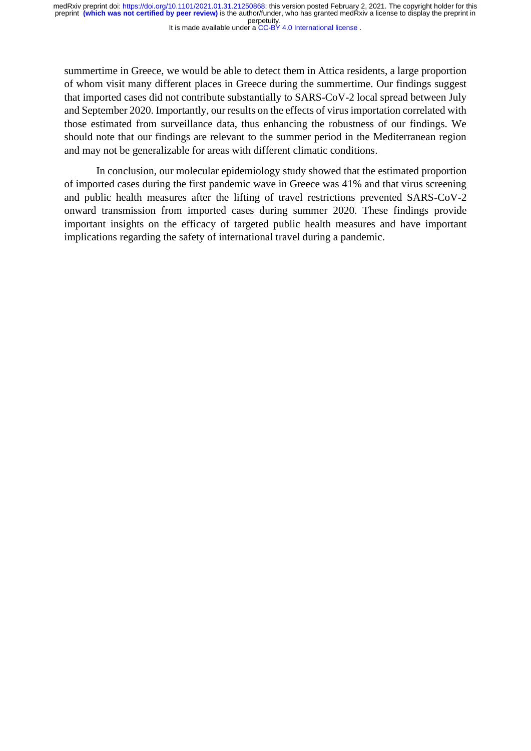It is made available under a [CC-BY 4.0 International license](http://creativecommons.org/licenses/by/4.0/) .

summertime in Greece, we would be able to detect them in Attica residents, a large proportion of whom visit many different places in Greece during the summertime. Our findings suggest that imported cases did not contribute substantially to SARS-CoV-2 local spread between July and September 2020. Importantly, our results on the effects of virus importation correlated with those estimated from surveillance data, thus enhancing the robustness of our findings. We should note that our findings are relevant to the summer period in the Mediterranean region and may not be generalizable for areas with different climatic conditions.

In conclusion, our molecular epidemiology study showed that the estimated proportion of imported cases during the first pandemic wave in Greece was 41% and that virus screening and public health measures after the lifting of travel restrictions prevented SARS-CoV-2 onward transmission from imported cases during summer 2020. These findings provide important insights on the efficacy of targeted public health measures and have important implications regarding the safety of international travel during a pandemic.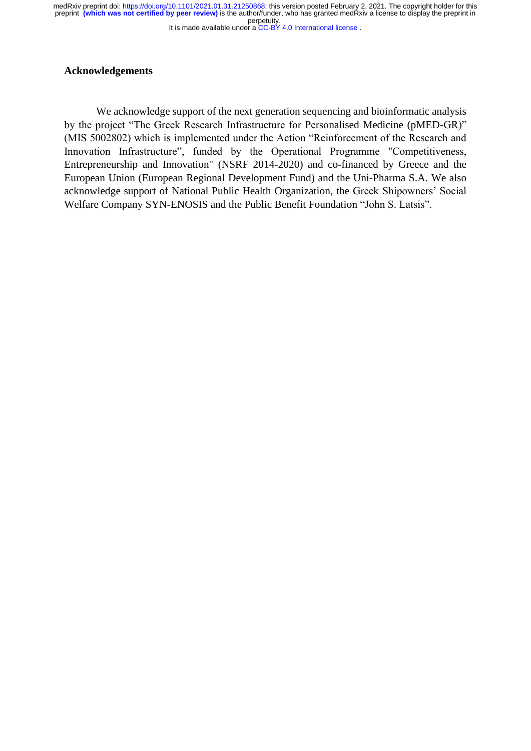It is made available under a [CC-BY 4.0 International license](http://creativecommons.org/licenses/by/4.0/) . perpetuity. medRxiv preprint doi: [https://doi.org/10.1101/2021.01.31.21250868;](https://doi.org/10.1101/2021.01.31.21250868) this version posted February 2, 2021. The copyright holder for this<br>preprint (which was not certified by peer review) is the author/funder, who has granted

## **Acknowledgements**

We acknowledge support of the next generation sequencing and bioinformatic analysis by the project "The Greek Research Infrastructure for Personalised Medicine (pMED-GR)" (MIS 5002802) which is implemented under the Action "Reinforcement of the Research and Innovation Infrastructure", funded by the Operational Programme "Competitiveness, Entrepreneurship and Innovation" (NSRF 2014-2020) and co-financed by Greece and the European Union (European Regional Development Fund) and the Uni-Pharma S.A. We also acknowledge support of National Public Health Organization, the Greek Shipowners' Social Welfare Company SYN-ENOSIS and the Public Benefit Foundation "John S. Latsis".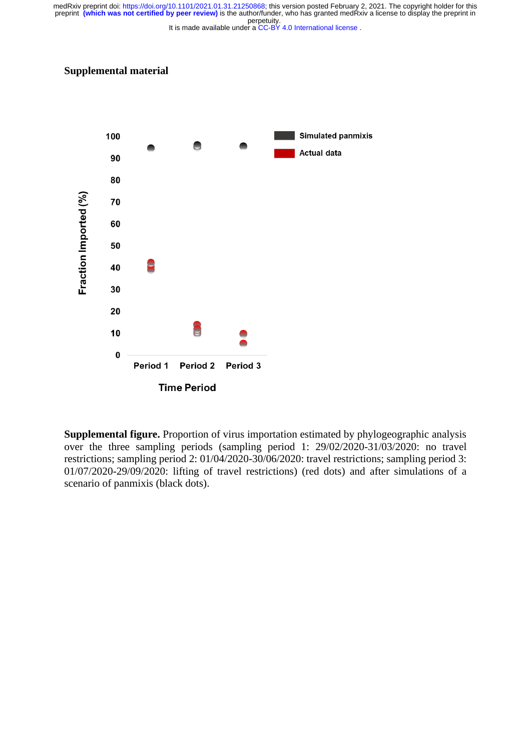It is made available under a [CC-BY 4.0 International license](http://creativecommons.org/licenses/by/4.0/) . perpetuity. medRxiv preprint doi: [https://doi.org/10.1101/2021.01.31.21250868;](https://doi.org/10.1101/2021.01.31.21250868) this version posted February 2, 2021. The copyright holder for this<br>preprint (which was not certified by peer review) is the author/funder, who has granted

## **Supplemental material**



**Supplemental figure.** Proportion of virus importation estimated by phylogeographic analysis over the three sampling periods (sampling period 1: 29/02/2020-31/03/2020: no travel restrictions; sampling period 2: 01/04/2020-30/06/2020: travel restrictions; sampling period 3: 01/07/2020-29/09/2020: lifting of travel restrictions) (red dots) and after simulations of a scenario of panmixis (black dots).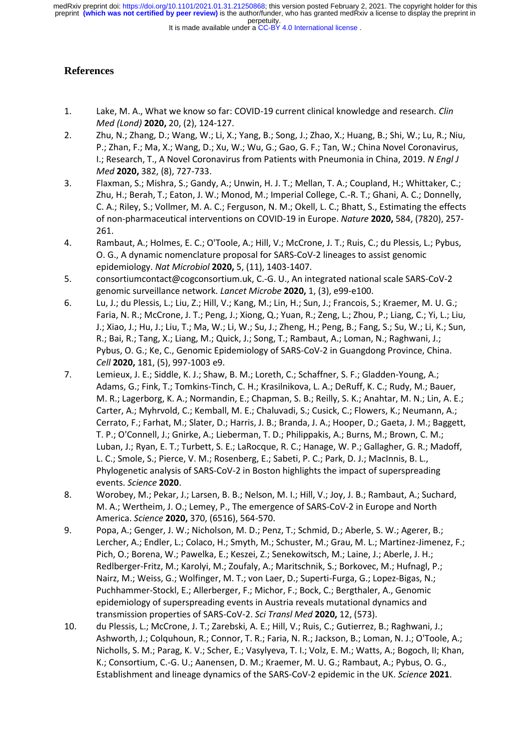#### It is made available under a [CC-BY 4.0 International license](http://creativecommons.org/licenses/by/4.0/) .

# **References**

- 1. Lake, M. A., What we know so far: COVID-19 current clinical knowledge and research. *Clin Med (Lond)* **2020,** 20, (2), 124-127.
- 2. Zhu, N.; Zhang, D.; Wang, W.; Li, X.; Yang, B.; Song, J.; Zhao, X.; Huang, B.; Shi, W.; Lu, R.; Niu, P.; Zhan, F.; Ma, X.; Wang, D.; Xu, W.; Wu, G.; Gao, G. F.; Tan, W.; China Novel Coronavirus, I.; Research, T., A Novel Coronavirus from Patients with Pneumonia in China, 2019. *N Engl J Med* **2020,** 382, (8), 727-733.
- 3. Flaxman, S.; Mishra, S.; Gandy, A.; Unwin, H. J. T.; Mellan, T. A.; Coupland, H.; Whittaker, C.; Zhu, H.; Berah, T.; Eaton, J. W.; Monod, M.; Imperial College, C.-R. T.; Ghani, A. C.; Donnelly, C. A.; Riley, S.; Vollmer, M. A. C.; Ferguson, N. M.; Okell, L. C.; Bhatt, S., Estimating the effects of non-pharmaceutical interventions on COVID-19 in Europe. *Nature* **2020,** 584, (7820), 257- 261.
- 4. Rambaut, A.; Holmes, E. C.; O'Toole, A.; Hill, V.; McCrone, J. T.; Ruis, C.; du Plessis, L.; Pybus, O. G., A dynamic nomenclature proposal for SARS-CoV-2 lineages to assist genomic epidemiology. *Nat Microbiol* **2020,** 5, (11), 1403-1407.
- 5. consortiumcontact@cogconsortium.uk, C.-G. U., An integrated national scale SARS-CoV-2 genomic surveillance network. *Lancet Microbe* **2020,** 1, (3), e99-e100.
- 6. Lu, J.; du Plessis, L.; Liu, Z.; Hill, V.; Kang, M.; Lin, H.; Sun, J.; Francois, S.; Kraemer, M. U. G.; Faria, N. R.; McCrone, J. T.; Peng, J.; Xiong, Q.; Yuan, R.; Zeng, L.; Zhou, P.; Liang, C.; Yi, L.; Liu, J.; Xiao, J.; Hu, J.; Liu, T.; Ma, W.; Li, W.; Su, J.; Zheng, H.; Peng, B.; Fang, S.; Su, W.; Li, K.; Sun, R.; Bai, R.; Tang, X.; Liang, M.; Quick, J.; Song, T.; Rambaut, A.; Loman, N.; Raghwani, J.; Pybus, O. G.; Ke, C., Genomic Epidemiology of SARS-CoV-2 in Guangdong Province, China. *Cell* **2020,** 181, (5), 997-1003 e9.
- 7. Lemieux, J. E.; Siddle, K. J.; Shaw, B. M.; Loreth, C.; Schaffner, S. F.; Gladden-Young, A.; Adams, G.; Fink, T.; Tomkins-Tinch, C. H.; Krasilnikova, L. A.; DeRuff, K. C.; Rudy, M.; Bauer, M. R.; Lagerborg, K. A.; Normandin, E.; Chapman, S. B.; Reilly, S. K.; Anahtar, M. N.; Lin, A. E.; Carter, A.; Myhrvold, C.; Kemball, M. E.; Chaluvadi, S.; Cusick, C.; Flowers, K.; Neumann, A.; Cerrato, F.; Farhat, M.; Slater, D.; Harris, J. B.; Branda, J. A.; Hooper, D.; Gaeta, J. M.; Baggett, T. P.; O'Connell, J.; Gnirke, A.; Lieberman, T. D.; Philippakis, A.; Burns, M.; Brown, C. M.; Luban, J.; Ryan, E. T.; Turbett, S. E.; LaRocque, R. C.; Hanage, W. P.; Gallagher, G. R.; Madoff, L. C.; Smole, S.; Pierce, V. M.; Rosenberg, E.; Sabeti, P. C.; Park, D. J.; MacInnis, B. L., Phylogenetic analysis of SARS-CoV-2 in Boston highlights the impact of superspreading events. *Science* **2020**.
- 8. Worobey, M.; Pekar, J.; Larsen, B. B.; Nelson, M. I.; Hill, V.; Joy, J. B.; Rambaut, A.; Suchard, M. A.; Wertheim, J. O.; Lemey, P., The emergence of SARS-CoV-2 in Europe and North America. *Science* **2020,** 370, (6516), 564-570.
- 9. Popa, A.; Genger, J. W.; Nicholson, M. D.; Penz, T.; Schmid, D.; Aberle, S. W.; Agerer, B.; Lercher, A.; Endler, L.; Colaco, H.; Smyth, M.; Schuster, M.; Grau, M. L.; Martinez-Jimenez, F.; Pich, O.; Borena, W.; Pawelka, E.; Keszei, Z.; Senekowitsch, M.; Laine, J.; Aberle, J. H.; Redlberger-Fritz, M.; Karolyi, M.; Zoufaly, A.; Maritschnik, S.; Borkovec, M.; Hufnagl, P.; Nairz, M.; Weiss, G.; Wolfinger, M. T.; von Laer, D.; Superti-Furga, G.; Lopez-Bigas, N.; Puchhammer-Stockl, E.; Allerberger, F.; Michor, F.; Bock, C.; Bergthaler, A., Genomic epidemiology of superspreading events in Austria reveals mutational dynamics and transmission properties of SARS-CoV-2. *Sci Transl Med* **2020,** 12, (573).
- 10. du Plessis, L.; McCrone, J. T.; Zarebski, A. E.; Hill, V.; Ruis, C.; Gutierrez, B.; Raghwani, J.; Ashworth, J.; Colquhoun, R.; Connor, T. R.; Faria, N. R.; Jackson, B.; Loman, N. J.; O'Toole, A.; Nicholls, S. M.; Parag, K. V.; Scher, E.; Vasylyeva, T. I.; Volz, E. M.; Watts, A.; Bogoch, II; Khan, K.; Consortium, C.-G. U.; Aanensen, D. M.; Kraemer, M. U. G.; Rambaut, A.; Pybus, O. G., Establishment and lineage dynamics of the SARS-CoV-2 epidemic in the UK. *Science* **2021**.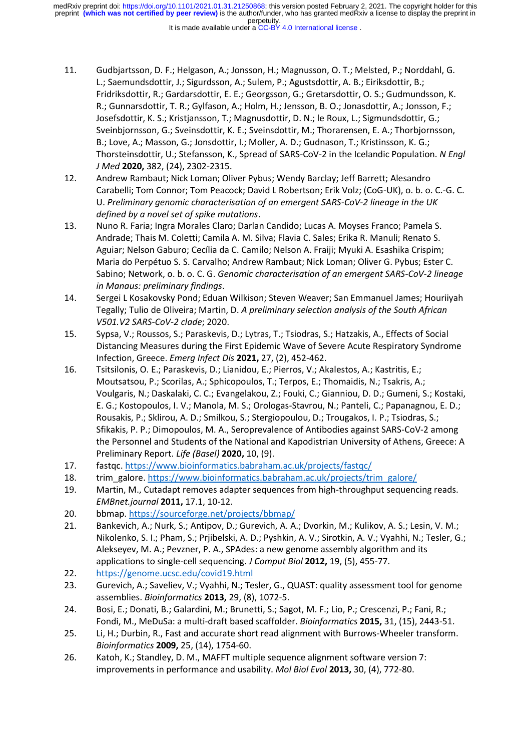- It is made available under a [CC-BY 4.0 International license](http://creativecommons.org/licenses/by/4.0/) .
- 11. Gudbjartsson, D. F.; Helgason, A.; Jonsson, H.; Magnusson, O. T.; Melsted, P.; Norddahl, G. L.; Saemundsdottir, J.; Sigurdsson, A.; Sulem, P.; Agustsdottir, A. B.; Eiriksdottir, B.; Fridriksdottir, R.; Gardarsdottir, E. E.; Georgsson, G.; Gretarsdottir, O. S.; Gudmundsson, K. R.; Gunnarsdottir, T. R.; Gylfason, A.; Holm, H.; Jensson, B. O.; Jonasdottir, A.; Jonsson, F.; Josefsdottir, K. S.; Kristjansson, T.; Magnusdottir, D. N.; le Roux, L.; Sigmundsdottir, G.; Sveinbjornsson, G.; Sveinsdottir, K. E.; Sveinsdottir, M.; Thorarensen, E. A.; Thorbjornsson, B.; Love, A.; Masson, G.; Jonsdottir, I.; Moller, A. D.; Gudnason, T.; Kristinsson, K. G.; Thorsteinsdottir, U.; Stefansson, K., Spread of SARS-CoV-2 in the Icelandic Population. *N Engl J Med* **2020,** 382, (24), 2302-2315.
- 12. Andrew Rambaut; Nick Loman; Oliver Pybus; Wendy Barclay; Jeff Barrett; Alesandro Carabelli; Tom Connor; Tom Peacock; David L Robertson; Erik Volz; (CoG-UK), o. b. o. C.-G. C. U. *Preliminary genomic characterisation of an emergent SARS-CoV-2 lineage in the UK defined by a novel set of spike mutations*.
- 13. Nuno R. Faria; Ingra Morales Claro; Darlan Candido; Lucas A. Moyses Franco; Pamela S. Andrade; Thais M. Coletti; Camila A. M. Silva; Flavia C. Sales; Erika R. Manuli; Renato S. Aguiar; Nelson Gaburo; Cecília da C. Camilo; Nelson A. Fraiji; Myuki A. Esashika Crispim; Maria do Perpétuo S. S. Carvalho; Andrew Rambaut; Nick Loman; Oliver G. Pybus; Ester C. Sabino; Network, o. b. o. C. G. *Genomic characterisation of an emergent SARS-CoV-2 lineage in Manaus: preliminary findings*.
- 14. Sergei L Kosakovsky Pond; Eduan Wilkison; Steven Weaver; San Emmanuel James; Houriiyah Tegally; Tulio de Oliveira; Martin, D. *A preliminary selection analysis of the South African V501.V2 SARS-CoV-2 clade*; 2020.
- 15. Sypsa, V.; Roussos, S.; Paraskevis, D.; Lytras, T.; Tsiodras, S.; Hatzakis, A., Effects of Social Distancing Measures during the First Epidemic Wave of Severe Acute Respiratory Syndrome Infection, Greece. *Emerg Infect Dis* **2021,** 27, (2), 452-462.
- 16. Tsitsilonis, O. E.; Paraskevis, D.; Lianidou, E.; Pierros, V.; Akalestos, A.; Kastritis, E.; Moutsatsou, P.; Scorilas, A.; Sphicopoulos, T.; Terpos, E.; Thomaidis, N.; Tsakris, A.; Voulgaris, N.; Daskalaki, C. C.; Evangelakou, Z.; Fouki, C.; Gianniou, D. D.; Gumeni, S.; Kostaki, E. G.; Kostopoulos, I. V.; Manola, M. S.; Orologas-Stavrou, N.; Panteli, C.; Papanagnou, E. D.; Rousakis, P.; Sklirou, A. D.; Smilkou, S.; Stergiopoulou, D.; Trougakos, I. P.; Tsiodras, S.; Sfikakis, P. P.; Dimopoulos, M. A., Seroprevalence of Antibodies against SARS-CoV-2 among the Personnel and Students of the National and Kapodistrian University of Athens, Greece: A Preliminary Report. *Life (Basel)* **2020,** 10, (9).
- 17. fastqc.<https://www.bioinformatics.babraham.ac.uk/projects/fastqc/>
- 18. trim\_galore[. https://www.bioinformatics.babraham.ac.uk/projects/trim\\_galore/](https://www.bioinformatics.babraham.ac.uk/projects/trim_galore/)
- 19. Martin, M., Cutadapt removes adapter sequences from high-throughput sequencing reads. *EMBnet.journal* **2011,** 17.1, 10-12.
- 20. bbmap[. https://sourceforge.net/projects/bbmap/](https://sourceforge.net/projects/bbmap/)
- 21. Bankevich, A.; Nurk, S.; Antipov, D.; Gurevich, A. A.; Dvorkin, M.; Kulikov, A. S.; Lesin, V. M.; Nikolenko, S. I.; Pham, S.; Prjibelski, A. D.; Pyshkin, A. V.; Sirotkin, A. V.; Vyahhi, N.; Tesler, G.; Alekseyev, M. A.; Pevzner, P. A., SPAdes: a new genome assembly algorithm and its applications to single-cell sequencing. *J Comput Biol* **2012,** 19, (5), 455-77.
- 22. <https://genome.ucsc.edu/covid19.html>
- 23. Gurevich, A.; Saveliev, V.; Vyahhi, N.; Tesler, G., QUAST: quality assessment tool for genome assemblies. *Bioinformatics* **2013,** 29, (8), 1072-5.
- 24. Bosi, E.; Donati, B.; Galardini, M.; Brunetti, S.; Sagot, M. F.; Lio, P.; Crescenzi, P.; Fani, R.; Fondi, M., MeDuSa: a multi-draft based scaffolder. *Bioinformatics* **2015,** 31, (15), 2443-51.
- 25. Li, H.; Durbin, R., Fast and accurate short read alignment with Burrows-Wheeler transform. *Bioinformatics* **2009,** 25, (14), 1754-60.
- 26. Katoh, K.; Standley, D. M., MAFFT multiple sequence alignment software version 7: improvements in performance and usability. *Mol Biol Evol* **2013,** 30, (4), 772-80.